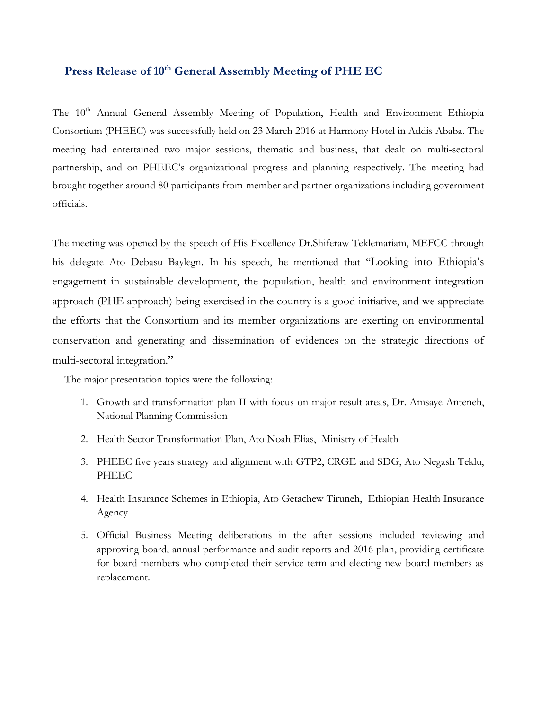## **Press Release of 10th General Assembly Meeting of PHE EC**

The 10<sup>th</sup> Annual General Assembly Meeting of Population, Health and Environment Ethiopia Consortium (PHEEC) was successfully held on 23 March 2016 at Harmony Hotel in Addis Ababa. The meeting had entertained two major sessions, thematic and business, that dealt on multi-sectoral partnership, and on PHEEC's organizational progress and planning respectively. The meeting had brought together around 80 participants from member and partner organizations including government officials.

The meeting was opened by the speech of His Excellency Dr.Shiferaw Teklemariam, MEFCC through his delegate Ato Debasu Baylegn. In his speech, he mentioned that "Looking into Ethiopia's engagement in sustainable development, the population, health and environment integration approach (PHE approach) being exercised in the country is a good initiative, and we appreciate the efforts that the Consortium and its member organizations are exerting on environmental conservation and generating and dissemination of evidences on the strategic directions of multi-sectoral integration."

The major presentation topics were the following:

- 1. Growth and transformation plan II with focus on major result areas, Dr. Amsaye Anteneh, National Planning Commission
- 2. Health Sector Transformation Plan, Ato Noah Elias, Ministry of Health
- 3. PHEEC five years strategy and alignment with GTP2, CRGE and SDG, Ato Negash Teklu, PHEEC
- 4. Health Insurance Schemes in Ethiopia, Ato Getachew Tiruneh, Ethiopian Health Insurance Agency
- 5. Official Business Meeting deliberations in the after sessions included reviewing and approving board, annual performance and audit reports and 2016 plan, providing certificate for board members who completed their service term and electing new board members as replacement.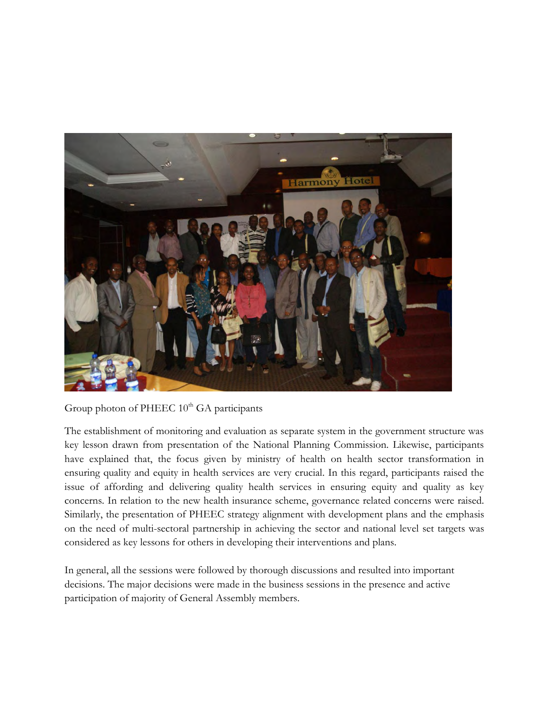

Group photon of PHEEC  $10^{th}$  GA participants

The establishment of monitoring and evaluation as separate system in the government structure was key lesson drawn from presentation of the National Planning Commission. Likewise, participants have explained that, the focus given by ministry of health on health sector transformation in ensuring quality and equity in health services are very crucial. In this regard, participants raised the issue of affording and delivering quality health services in ensuring equity and quality as key concerns. In relation to the new health insurance scheme, governance related concerns were raised. Similarly, the presentation of PHEEC strategy alignment with development plans and the emphasis on the need of multi-sectoral partnership in achieving the sector and national level set targets was considered as key lessons for others in developing their interventions and plans.

In general, all the sessions were followed by thorough discussions and resulted into important decisions. The major decisions were made in the business sessions in the presence and active participation of majority of General Assembly members.